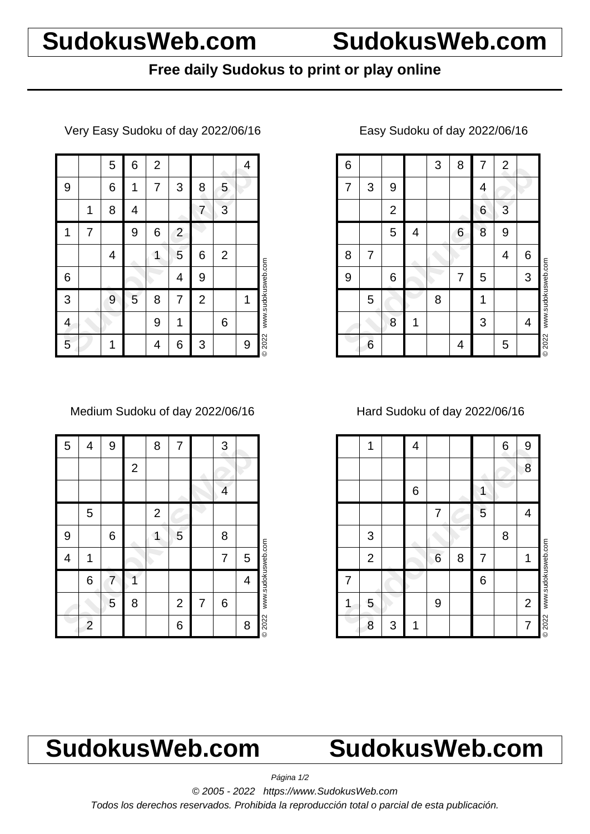## **SudokusWeb.com SudokusWeb.com**

## **Free daily Sudokus to print or play online**

Very Easy Sudoku of day 2022/06/16

|   |   | 5 | 6 | $\mathbf 2$ |                |                |                | 4 |                    |
|---|---|---|---|-------------|----------------|----------------|----------------|---|--------------------|
| 9 |   | 6 | 1 | 7           | 3              | 8              | 5              |   |                    |
|   | 1 | 8 | 4 |             |                | 7              | 3              |   |                    |
| 1 | 7 |   | 9 | 6           | $\overline{c}$ |                |                |   |                    |
|   |   | 4 |   | 1           | 5              | 6              | $\overline{2}$ |   |                    |
| 6 |   |   |   |             | 4              | 9              |                |   | www.sudokusweb.com |
| 3 |   | 9 | 5 | 8           | 7              | $\overline{2}$ |                | 1 |                    |
| 4 |   |   |   | 9           | 1              |                | 6              |   |                    |
| 5 |   | 1 |   | 4           | 6              | 3              |                | 9 | © 2022             |

#### Medium Sudoku of day 2022/06/16

| 5 | 4              | 9 |                | 8            | 7              |   | 3 |   |                    |
|---|----------------|---|----------------|--------------|----------------|---|---|---|--------------------|
|   |                |   | $\overline{c}$ |              |                |   |   |   |                    |
|   |                |   |                |              |                |   | 4 |   |                    |
|   | 5              |   |                | $\mathbf{2}$ |                |   |   |   |                    |
| 9 |                | 6 |                |              | 5              |   | 8 |   |                    |
| 4 | 1              |   |                |              |                |   | 7 | 5 |                    |
|   | 6              | 7 |                |              |                |   |   | 4 | www.sudokusweb.com |
|   |                | 5 | 8              |              | $\overline{2}$ | 7 | 6 |   |                    |
|   | $\overline{c}$ |   |                |              | 6              |   |   | 8 | © 2022             |

| 6 |   |                |   | 3 | 8 | 7 | $\overline{2}$ |   |                    |
|---|---|----------------|---|---|---|---|----------------|---|--------------------|
| 7 | 3 | 9              |   |   |   | 4 |                |   |                    |
|   |   | $\overline{2}$ |   |   |   | 6 | 3              |   |                    |
|   |   | 5              | 4 |   | 6 | 8 | 9              |   |                    |
| 8 | 7 |                |   |   |   |   | 4              | 6 |                    |
| 9 |   | 6              |   |   | 7 | 5 |                | 3 |                    |
|   | 5 |                |   | 8 |   |   |                |   | www.sudokusweb.com |
|   |   | 8              | 1 |   |   | 3 |                | 4 |                    |
|   | 6 |                |   |   | 4 |   | 5              |   | © 2022             |

### Easy Sudoku of day 2022/06/16

### Hard Sudoku of day 2022/06/16

|   | 1              |   | 4 |   |   |   | 6 | 9              |                    |
|---|----------------|---|---|---|---|---|---|----------------|--------------------|
|   |                |   |   |   |   |   |   | 8              |                    |
|   |                |   | 6 |   |   | 1 |   |                |                    |
|   |                |   |   | 7 |   | 5 |   | 4              |                    |
|   | 3              |   |   |   |   |   | 8 |                |                    |
|   | $\overline{2}$ |   |   | 6 | 8 | 7 |   | 1              | www.sudokusweb.com |
| 7 |                |   |   |   |   | 6 |   |                |                    |
| 1 | 5              |   |   | 9 |   |   |   | $\overline{2}$ |                    |
|   | 8              | 3 | 1 |   |   |   |   | $\overline{7}$ | <b>©2022</b>       |

# **SudokusWeb.com SudokusWeb.com**

Página 1/2

© 2005 - 2022 https://www.SudokusWeb.com

Todos los derechos reservados. Prohibida la reproducción total o parcial de esta publicación.